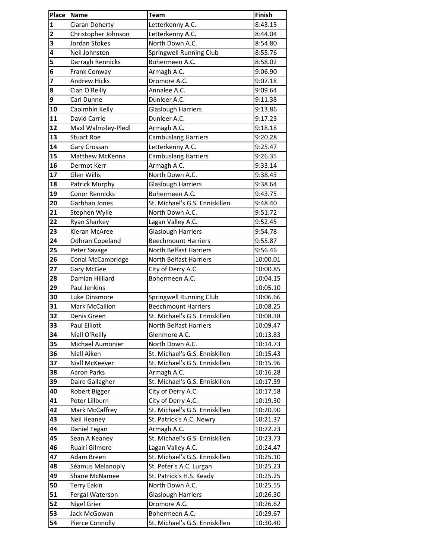| Place                   | <b>Name</b>           | <b>Team</b>                    | Finish   |
|-------------------------|-----------------------|--------------------------------|----------|
| 1                       | Ciaran Doherty        | Letterkenny A.C.               | 8:43.15  |
| $\overline{\mathbf{c}}$ | Christopher Johnson   | Letterkenny A.C.               | 8:44.04  |
| 3                       | Jordan Stokes         | North Down A.C.                | 8:54.80  |
| 4                       | Neil Johnston         | Springwell Running Club        | 8:55.76  |
| 5                       | Darragh Rennicks      | Bohermeen A.C.                 | 8:58.02  |
| 6                       | Frank Conway          | Armagh A.C.                    | 9:06.90  |
| 7                       | <b>Andrew Hicks</b>   | Dromore A.C.                   | 9:07.18  |
| 8                       | Cian O'Reilly         | Annalee A.C.                   | 9:09.64  |
| 9                       | Carl Dunne            | Dunleer A.C.                   | 9:11.38  |
| 10                      | Caoimhín Kelly        | <b>Glaslough Harriers</b>      | 9:13.86  |
| 11                      | David Carrie          | Dunleer A.C.                   | 9:17.23  |
| 12                      | Maxl Walmsley-Pledl   | Armagh A.C.                    | 9:18.18  |
| 13                      | <b>Stuart Roe</b>     | <b>Cambuslang Harriers</b>     | 9:20.28  |
| 14                      | Gary Crossan          | Letterkenny A.C.               | 9:25.47  |
| 15                      | Matthew McKenna       | Cambuslang Harriers            | 9:26.35  |
| 16                      | Dermot Kerr           | Armagh A.C.                    | 9:33.14  |
| 17                      | <b>Glen Willis</b>    | North Down A.C.                | 9:38.43  |
| 18                      | Patrick Murphy        | <b>Glaslough Harriers</b>      | 9:38.64  |
| 19                      | <b>Conor Rennicks</b> | Bohermeen A.C.                 | 9:43.75  |
| 20                      | Garbhan Jones         | St. Michael's G.S. Enniskillen | 9:48.40  |
| 21                      | Stephen Wylie         | North Down A.C.                | 9:51.72  |
| 22                      | Ryan Sharkey          | Lagan Valley A.C.              | 9:52.45  |
| 23                      | Kieran McAree         | <b>Glaslough Harriers</b>      | 9:54.78  |
| 24                      | Odhran Copeland       | <b>Beechmount Harriers</b>     | 9:55.87  |
| 25                      | Peter Savage          | North Belfast Harriers         | 9:56.46  |
| 26                      | Conal McCambridge     | North Belfast Harriers         | 10:00.01 |
| 27                      | Gary McGee            | City of Derry A.C.             | 10:00.85 |
| 28                      | Damian Hilliard       | Bohermeen A.C.                 | 10:04.15 |
| 29                      | Paul Jenkins          |                                | 10:05.10 |
| 30                      | Luke Dinsmore         | Springwell Running Club        | 10:06.66 |
| 31                      | Mark McCallion        | <b>Beechmount Harriers</b>     | 10:08.25 |
| 32                      | Denis Green           | St. Michael's G.S. Enniskillen | 10:08.38 |
| 33                      | Paul Elliott          | North Belfast Harriers         | 10:09.47 |
| 34                      | Niall O'Reilly        | Glenmore A.C.                  | 10:13.83 |
| 35                      | Michael Aumonier      | North Down A.C.                | 10:14.73 |
| 36                      | Niall Aiken           | St. Michael's G.S. Enniskillen | 10:15.43 |
| 37                      | Niall McKeever        | St. Michael's G.S. Enniskillen | 10:15.96 |
| 38                      | <b>Aaron Parks</b>    | Armagh A.C.                    | 10:16.28 |
| 39                      | Daire Gallagher       | St. Michael's G.S. Enniskillen | 10:17.39 |
| 40                      | Robert Bigger         | City of Derry A.C.             | 10:17.58 |
| 41                      | Peter Lillburn        | City of Derry A.C.             | 10:19.30 |
| 42                      | Mark McCaffrey        | St. Michael's G.S. Enniskillen | 10:20.90 |
| 43                      | Neil Heaney           | St. Patrick's A.C. Newry       | 10:21.37 |
| 44                      | Daniel Fegan          | Armagh A.C.                    | 10:22.23 |
| 45                      | Sean A Keaney         | St. Michael's G.S. Enniskillen | 10:23.73 |
| 46                      | Ruairí Gilmore        | Lagan Valley A.C.              | 10:24.47 |
| 47                      | Adam Breen            | St. Michael's G.S. Enniskillen | 10:25.10 |
| 48                      | Séamus Melanoply      | St. Peter's A.C. Lurgan        | 10:25.23 |
| 49                      | Shane McNamee         | St. Patrick's H.S. Keady       | 10:25.25 |
| 50                      | <b>Terry Eakin</b>    | North Down A.C.                | 10:25.55 |
| 51                      | Fergal Waterson       | <b>Glaslough Harriers</b>      | 10:26.30 |
| 52                      | <b>Nigel Grier</b>    | Dromore A.C.                   | 10:26.62 |
| 53                      | Jack McGowan          | Bohermeen A.C.                 | 10:29.67 |
| 54                      | Pierce Connolly       | St. Michael's G.S. Enniskillen | 10:30.40 |
|                         |                       |                                |          |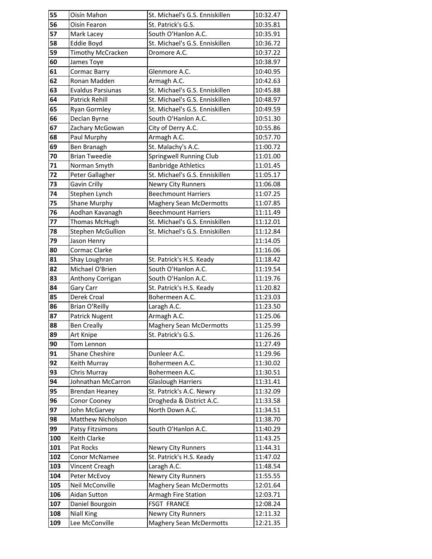| 55  | Oisín Mahon              | St. Michael's G.S. Enniskillen | 10:32.47 |
|-----|--------------------------|--------------------------------|----------|
| 56  | Oisín Fearon             | St. Patrick's G.S.             | 10:35.81 |
| 57  | Mark Lacey               | South O'Hanlon A.C.            | 10:35.91 |
| 58  | Eddie Boyd               | St. Michael's G.S. Enniskillen | 10:36.72 |
| 59  | Timothy McCracken        | Dromore A.C.                   | 10:37.22 |
| 60  | James Toye               |                                | 10:38.97 |
| 61  | Cormac Barry             | Glenmore A.C.                  | 10:40.95 |
| 62  | Ronan Madden             | Armagh A.C.                    | 10:42.63 |
| 63  | <b>Evaldus Parsiunas</b> | St. Michael's G.S. Enniskillen | 10:45.88 |
| 64  | Patrick Rehill           | St. Michael's G.S. Enniskillen | 10:48.97 |
| 65  | <b>Ryan Gormley</b>      | St. Michael's G.S. Enniskillen | 10:49.59 |
| 66  | Declan Byrne             | South O'Hanlon A.C.            | 10:51.30 |
| 67  | Zachary McGowan          | City of Derry A.C.             | 10:55.86 |
| 68  | Paul Murphy              | Armagh A.C.                    | 10:57.70 |
| 69  | Ben Branagh              | St. Malachy's A.C.             | 11:00.72 |
| 70  | <b>Brian Tweedie</b>     | Springwell Running Club        | 11:01.00 |
| 71  | Norman Smyth             | <b>Banbridge Athletics</b>     | 11:01.45 |
| 72  | Peter Gallagher          | St. Michael's G.S. Enniskillen | 11:05.17 |
| 73  | Gavin Crilly             | <b>Newry City Runners</b>      | 11:06.08 |
| 74  | Stephen Lynch            | <b>Beechmount Harriers</b>     | 11:07.25 |
| 75  | <b>Shane Murphy</b>      | <b>Maghery Sean McDermotts</b> | 11:07.85 |
| 76  | Aodhan Kavanagh          | <b>Beechmount Harriers</b>     | 11:11.49 |
| 77  | Thomas McHugh            | St. Michael's G.S. Enniskillen | 11:12.01 |
| 78  | <b>Stephen McGullion</b> | St. Michael's G.S. Enniskillen | 11:12.84 |
| 79  | Jason Henry              |                                | 11:14.05 |
| 80  | Cormac Clarke            |                                | 11:16.06 |
| 81  | Shay Loughran            | St. Patrick's H.S. Keady       | 11:18.42 |
| 82  | Michael O'Brien          | South O'Hanlon A.C.            | 11:19.54 |
| 83  | Anthony Corrigan         | South O'Hanlon A.C.            | 11:19.76 |
| 84  | Gary Carr                | St. Patrick's H.S. Keady       | 11:20.82 |
| 85  | Derek Croal              | Bohermeen A.C.                 | 11:23.03 |
| 86  | <b>Brian O'Reilly</b>    | Laragh A.C.                    | 11:23.50 |
| 87  | Patrick Nugent           | Armagh A.C.                    | 11:25.06 |
| 88  | <b>Ben Creally</b>       | <b>Maghery Sean McDermotts</b> | 11:25.99 |
| 89  | Art Knipe                | St. Patrick's G.S.             | 11:26.26 |
| 90  | Tom Lennon               |                                | 11:27.49 |
| 91  | <b>Shane Cheshire</b>    | Dunleer A.C.                   | 11:29.96 |
| 92  | Keith Murray             | Bohermeen A.C.                 | 11:30.02 |
| 93  | Chris Murray             | Bohermeen A.C.                 | 11:30.51 |
| 94  | Johnathan McCarron       | Glaslough Harriers             | 11:31.41 |
| 95  | <b>Brendan Heaney</b>    | St. Patrick's A.C. Newry       | 11:32.09 |
| 96  | Conor Cooney             | Drogheda & District A.C.       | 11:33.58 |
| 97  | John McGarvey            | North Down A.C.                | 11:34.51 |
| 98  | Matthew Nicholson        |                                | 11:38.70 |
| 99  | Patsy Fitzsimons         | South O'Hanlon A.C.            | 11:40.29 |
| 100 | <b>Keith Clarke</b>      |                                | 11:43.25 |
| 101 | Pat Rocks                | Newry City Runners             | 11:44.31 |
| 102 | <b>Conor McNamee</b>     | St. Patrick's H.S. Keady       | 11:47.02 |
| 103 | Vincent Creagh           | Laragh A.C.                    | 11:48.54 |
| 104 | Peter McEvoy             | <b>Newry City Runners</b>      | 11:55.55 |
| 105 | Neil McConville          | <b>Maghery Sean McDermotts</b> | 12:01.64 |
| 106 | Aidan Sutton             | Armagh Fire Station            | 12:03.71 |
| 107 | Daniel Bourgoin          | <b>FSGT FRANCE</b>             | 12:08.24 |
| 108 | <b>Niall King</b>        | <b>Newry City Runners</b>      | 12:11.32 |
| 109 | Lee McConville           | <b>Maghery Sean McDermotts</b> | 12:21.35 |